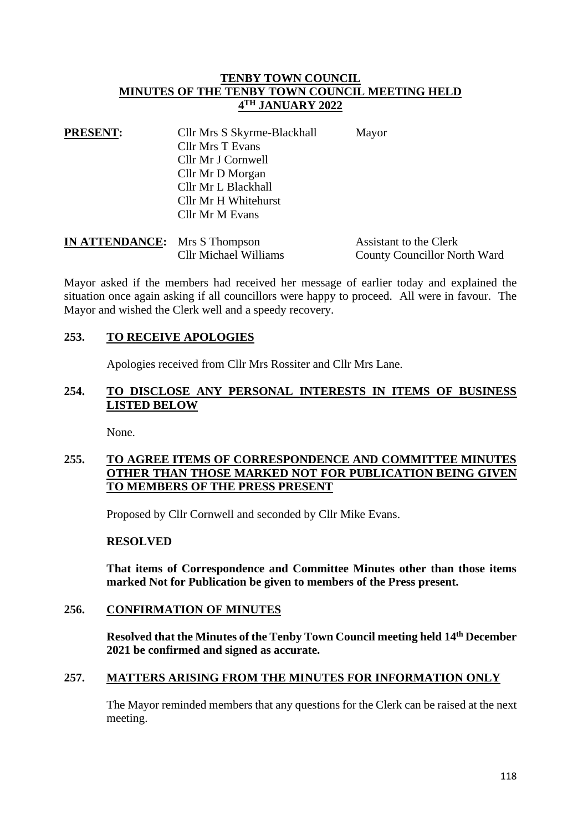## **TENBY TOWN COUNCIL MINUTES OF THE TENBY TOWN COUNCIL MEETING HELD 4 TH JANUARY 2022**

| <b>PRESENT:</b> | Cllr Mrs S Skyrme-Blackhall | Mayor |
|-----------------|-----------------------------|-------|
|                 | <b>Cllr Mrs T Evans</b>     |       |
|                 | Cllr Mr J Cornwell          |       |
|                 | Cllr Mr D Morgan            |       |
|                 | Cllr Mr L Blackhall         |       |
|                 | Cllr Mr H Whitehurst        |       |
|                 | Cllr Mr M Evans             |       |
|                 |                             |       |

| <b>IN ATTENDANCE:</b> Mrs S Thompson |                              | Assistant to the Clerk              |
|--------------------------------------|------------------------------|-------------------------------------|
|                                      | <b>Cllr Michael Williams</b> | <b>County Councillor North Ward</b> |

Mayor asked if the members had received her message of earlier today and explained the situation once again asking if all councillors were happy to proceed. All were in favour. The Mayor and wished the Clerk well and a speedy recovery.

## **253. TO RECEIVE APOLOGIES**

Apologies received from Cllr Mrs Rossiter and Cllr Mrs Lane.

# **254. TO DISCLOSE ANY PERSONAL INTERESTS IN ITEMS OF BUSINESS LISTED BELOW**

None.

# **255. TO AGREE ITEMS OF CORRESPONDENCE AND COMMITTEE MINUTES OTHER THAN THOSE MARKED NOT FOR PUBLICATION BEING GIVEN TO MEMBERS OF THE PRESS PRESENT**

Proposed by Cllr Cornwell and seconded by Cllr Mike Evans.

#### **RESOLVED**

**That items of Correspondence and Committee Minutes other than those items marked Not for Publication be given to members of the Press present.**

#### **256. CONFIRMATION OF MINUTES**

**Resolved that the Minutes of the Tenby Town Council meeting held 14th December 2021 be confirmed and signed as accurate.**

# **257. MATTERS ARISING FROM THE MINUTES FOR INFORMATION ONLY**

The Mayor reminded members that any questions for the Clerk can be raised at the next meeting.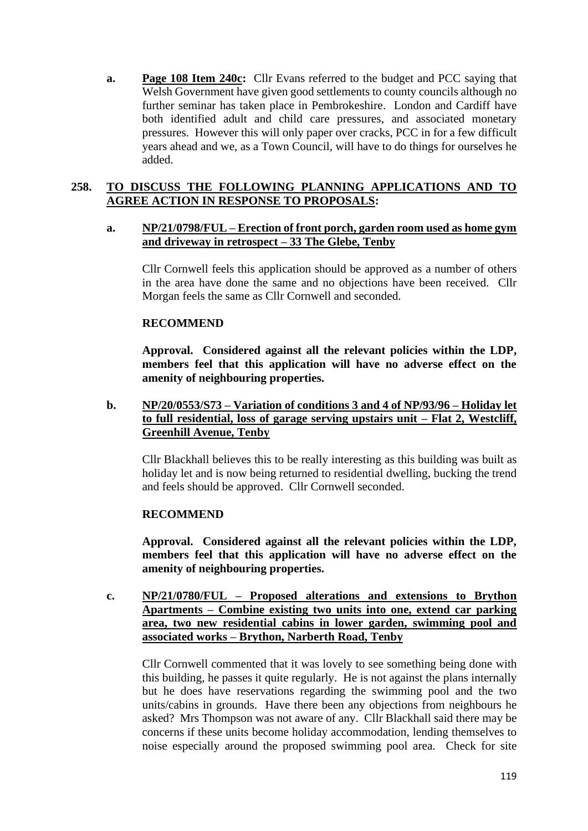**a. Page 108 Item 240c:** Cllr Evans referred to the budget and PCC saying that Welsh Government have given good settlements to county councils although no further seminar has taken place in Pembrokeshire. London and Cardiff have both identified adult and child care pressures, and associated monetary pressures. However this will only paper over cracks, PCC in for a few difficult years ahead and we, as a Town Council, will have to do things for ourselves he added.

# **258. TO DISCUSS THE FOLLOWING PLANNING APPLICATIONS AND TO AGREE ACTION IN RESPONSE TO PROPOSALS:**

## **a. NP/21/0798/FUL – Erection of front porch, garden room used as home gym and driveway in retrospect – 33 The Glebe, Tenby**

Cllr Cornwell feels this application should be approved as a number of others in the area have done the same and no objections have been received. Cllr Morgan feels the same as Cllr Cornwell and seconded.

## **RECOMMEND**

**Approval. Considered against all the relevant policies within the LDP, members feel that this application will have no adverse effect on the amenity of neighbouring properties.**

**b. NP/20/0553/S73 – Variation of conditions 3 and 4 of NP/93/96 – Holiday let to full residential, loss of garage serving upstairs unit – Flat 2, Westcliff, Greenhill Avenue, Tenby**

Cllr Blackhall believes this to be really interesting as this building was built as holiday let and is now being returned to residential dwelling, bucking the trend and feels should be approved. Cllr Cornwell seconded.

# **RECOMMEND**

**Approval. Considered against all the relevant policies within the LDP, members feel that this application will have no adverse effect on the amenity of neighbouring properties.**

**c. NP/21/0780/FUL – Proposed alterations and extensions to Brython Apartments – Combine existing two units into one, extend car parking area, two new residential cabins in lower garden, swimming pool and associated works – Brython, Narberth Road, Tenby**

Cllr Cornwell commented that it was lovely to see something being done with this building, he passes it quite regularly. He is not against the plans internally but he does have reservations regarding the swimming pool and the two units/cabins in grounds. Have there been any objections from neighbours he asked? Mrs Thompson was not aware of any. Cllr Blackhall said there may be concerns if these units become holiday accommodation, lending themselves to noise especially around the proposed swimming pool area. Check for site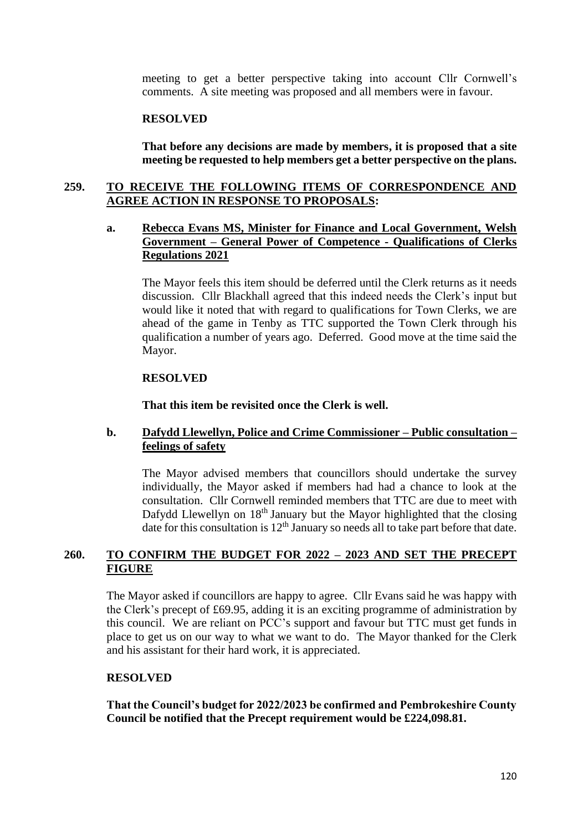meeting to get a better perspective taking into account Cllr Cornwell's comments. A site meeting was proposed and all members were in favour.

#### **RESOLVED**

**That before any decisions are made by members, it is proposed that a site meeting be requested to help members get a better perspective on the plans.**

#### **259. TO RECEIVE THE FOLLOWING ITEMS OF CORRESPONDENCE AND AGREE ACTION IN RESPONSE TO PROPOSALS:**

## **a. Rebecca Evans MS, Minister for Finance and Local Government, Welsh Government – General Power of Competence - Qualifications of Clerks Regulations 2021**

The Mayor feels this item should be deferred until the Clerk returns as it needs discussion. Cllr Blackhall agreed that this indeed needs the Clerk's input but would like it noted that with regard to qualifications for Town Clerks, we are ahead of the game in Tenby as TTC supported the Town Clerk through his qualification a number of years ago. Deferred. Good move at the time said the Mayor.

#### **RESOLVED**

**That this item be revisited once the Clerk is well.**

#### **b. Dafydd Llewellyn, Police and Crime Commissioner – Public consultation – feelings of safety**

The Mayor advised members that councillors should undertake the survey individually, the Mayor asked if members had had a chance to look at the consultation. Cllr Cornwell reminded members that TTC are due to meet with Dafydd Llewellyn on 18<sup>th</sup> January but the Mayor highlighted that the closing date for this consultation is 12<sup>th</sup> January so needs all to take part before that date.

## **260. TO CONFIRM THE BUDGET FOR 2022 – 2023 AND SET THE PRECEPT FIGURE**

The Mayor asked if councillors are happy to agree. Cllr Evans said he was happy with the Clerk's precept of £69.95, adding it is an exciting programme of administration by this council. We are reliant on PCC's support and favour but TTC must get funds in place to get us on our way to what we want to do. The Mayor thanked for the Clerk and his assistant for their hard work, it is appreciated.

## **RESOLVED**

**That the Council's budget for 2022/2023 be confirmed and Pembrokeshire County Council be notified that the Precept requirement would be £224,098.81.**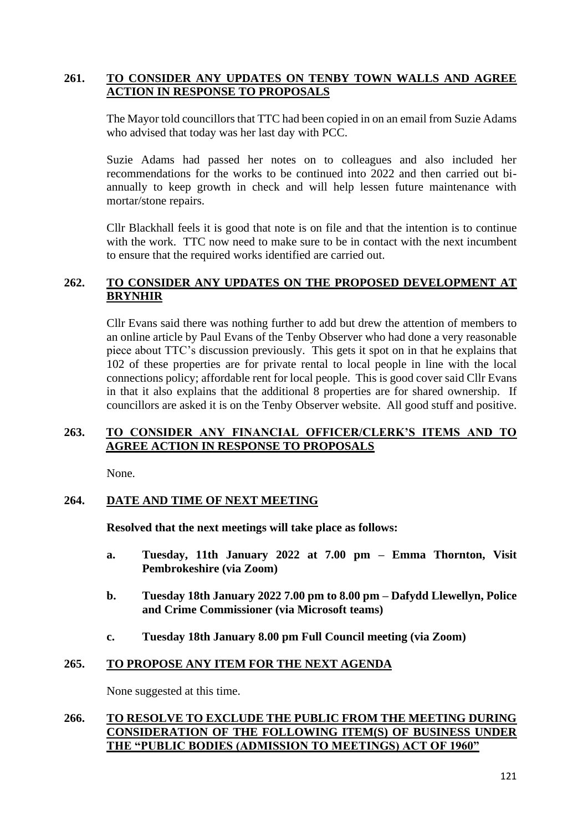# **261. TO CONSIDER ANY UPDATES ON TENBY TOWN WALLS AND AGREE ACTION IN RESPONSE TO PROPOSALS**

The Mayor told councillors that TTC had been copied in on an email from Suzie Adams who advised that today was her last day with PCC.

Suzie Adams had passed her notes on to colleagues and also included her recommendations for the works to be continued into 2022 and then carried out biannually to keep growth in check and will help lessen future maintenance with mortar/stone repairs.

Cllr Blackhall feels it is good that note is on file and that the intention is to continue with the work. TTC now need to make sure to be in contact with the next incumbent to ensure that the required works identified are carried out.

## **262. TO CONSIDER ANY UPDATES ON THE PROPOSED DEVELOPMENT AT BRYNHIR**

Cllr Evans said there was nothing further to add but drew the attention of members to an online article by Paul Evans of the Tenby Observer who had done a very reasonable piece about TTC's discussion previously. This gets it spot on in that he explains that 102 of these properties are for private rental to local people in line with the local connections policy; affordable rent for local people. This is good cover said Cllr Evans in that it also explains that the additional 8 properties are for shared ownership. If councillors are asked it is on the Tenby Observer website. All good stuff and positive.

# **263. TO CONSIDER ANY FINANCIAL OFFICER/CLERK'S ITEMS AND TO AGREE ACTION IN RESPONSE TO PROPOSALS**

None.

#### **264. DATE AND TIME OF NEXT MEETING**

**Resolved that the next meetings will take place as follows:**

- **a. Tuesday, 11th January 2022 at 7.00 pm – Emma Thornton, Visit Pembrokeshire (via Zoom)**
- **b. Tuesday 18th January 2022 7.00 pm to 8.00 pm – Dafydd Llewellyn, Police and Crime Commissioner (via Microsoft teams)**
- **c. Tuesday 18th January 8.00 pm Full Council meeting (via Zoom)**

## **265. TO PROPOSE ANY ITEM FOR THE NEXT AGENDA**

None suggested at this time.

## **266. TO RESOLVE TO EXCLUDE THE PUBLIC FROM THE MEETING DURING CONSIDERATION OF THE FOLLOWING ITEM(S) OF BUSINESS UNDER THE "PUBLIC BODIES (ADMISSION TO MEETINGS) ACT OF 1960"**